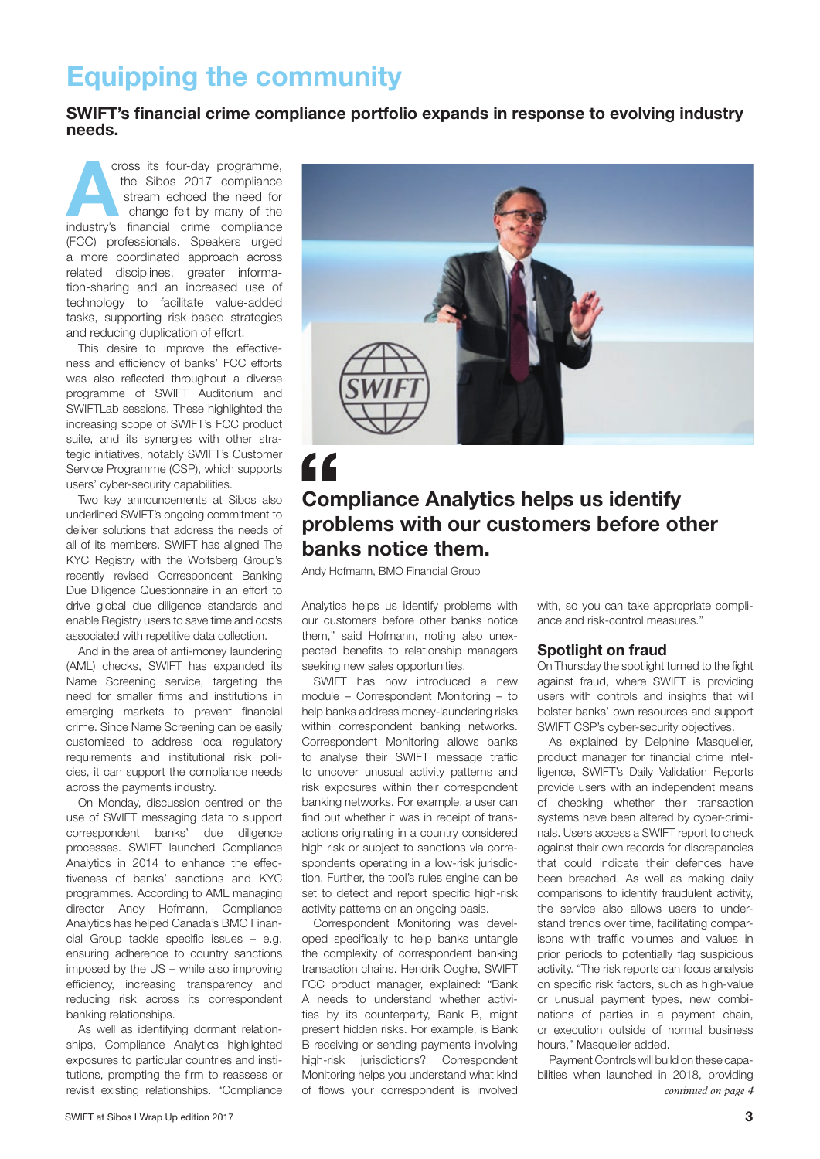# Equipping the community

SWIFT's financial crime compliance portfolio expands in response to evolving industry needs.

cross its four-day programme, the Sibos 2017 compliance stream echoed the need for change felt by many of the industry's financial crime compliance cross its four-day programme, the Sibos 2017 compliance stream echoed the need for change felt by many of the (FCC) professionals. Speakers urged a more coordinated approach across related disciplines, greater information-sharing and an increased use of technology to facilitate value-added tasks, supporting risk-based strategies and reducing duplication of effort.

This desire to improve the effectiveness and efficiency of banks' FCC efforts was also reflected throughout a diverse programme of SWIFT Auditorium and SWIFTLab sessions. These highlighted the increasing scope of SWIFT's FCC product suite, and its synergies with other strategic initiatives, notably SWIFT's Customer Service Programme (CSP), which supports users' cyber-security capabilities.

Two key announcements at Sibos also underlined SWIFT's ongoing commitment to deliver solutions that address the needs of all of its members. SWIFT has aligned The KYC Registry with the Wolfsberg Group's recently revised Correspondent Banking Due Diligence Questionnaire in an effort to drive global due diligence standards and enable Registry users to save time and costs associated with repetitive data collection.

And in the area of anti-money laundering (AML) checks, SWIFT has expanded its Name Screening service, targeting the need for smaller firms and institutions in emerging markets to prevent financial crime. Since Name Screening can be easily customised to address local regulatory requirements and institutional risk policies, it can support the compliance needs across the payments industry.

On Monday, discussion centred on the use of SWIFT messaging data to support correspondent banks' due diligence processes. SWIFT launched Compliance Analytics in 2014 to enhance the effectiveness of banks' sanctions and KYC programmes. According to AML managing director Andy Hofmann, Compliance Analytics has helped Canada's BMO Financial Group tackle specific issues – e.g. ensuring adherence to country sanctions imposed by the US – while also improving efficiency, increasing transparency and reducing risk across its correspondent banking relationships.

As well as identifying dormant relationships, Compliance Analytics highlighted exposures to particular countries and institutions, prompting the firm to reassess or revisit existing relationships. "Compliance



### Compliance Analytics helps us identify problems with our customers before other banks notice them.

Andy Hofmann, BMO Financial Group

Analytics helps us identify problems with our customers before other banks notice them," said Hofmann, noting also unexpected benefits to relationship managers seeking new sales opportunities.

SWIFT has now introduced a new module – Correspondent Monitoring – to help banks address money-laundering risks within correspondent banking networks. Correspondent Monitoring allows banks to analyse their SWIFT message traffic to uncover unusual activity patterns and risk exposures within their correspondent banking networks. For example, a user can find out whether it was in receipt of transactions originating in a country considered high risk or subject to sanctions via correspondents operating in a low-risk jurisdiction. Further, the tool's rules engine can be set to detect and report specific high-risk activity patterns on an ongoing basis.

Correspondent Monitoring was developed specifically to help banks untangle the complexity of correspondent banking transaction chains. Hendrik Ooghe, SWIFT FCC product manager, explained: "Bank A needs to understand whether activities by its counterparty, Bank B, might present hidden risks. For example, is Bank B receiving or sending payments involving high-risk jurisdictions? Correspondent Monitoring helps you understand what kind of flows your correspondent is involved

with, so you can take appropriate compliance and risk-control measures."

### Spotlight on fraud

On Thursday the spotlight turned to the fight against fraud, where SWIFT is providing users with controls and insights that will bolster banks' own resources and support SWIFT CSP's cyber-security objectives.

As explained by Delphine Masquelier, product manager for financial crime intelligence, SWIFT's Daily Validation Reports provide users with an independent means of checking whether their transaction systems have been altered by cyber-criminals. Users access a SWIFT report to check against their own records for discrepancies that could indicate their defences have been breached. As well as making daily comparisons to identify fraudulent activity, the service also allows users to understand trends over time, facilitating comparisons with traffic volumes and values in prior periods to potentially flag suspicious activity. "The risk reports can focus analysis on specific risk factors, such as high-value or unusual payment types, new combinations of parties in a payment chain, or execution outside of normal business hours," Masquelier added.

Payment Controls will build on these capabilities when launched in 2018, providing *continued on page 4*